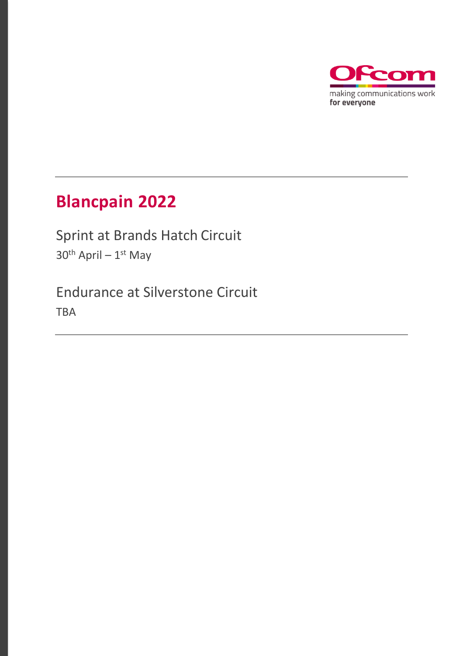

## **Blancpain 2022**

Sprint at Brands Hatch Circuit 30<sup>th</sup> April – 1<sup>st</sup> May

Endurance at Silverstone Circuit TBA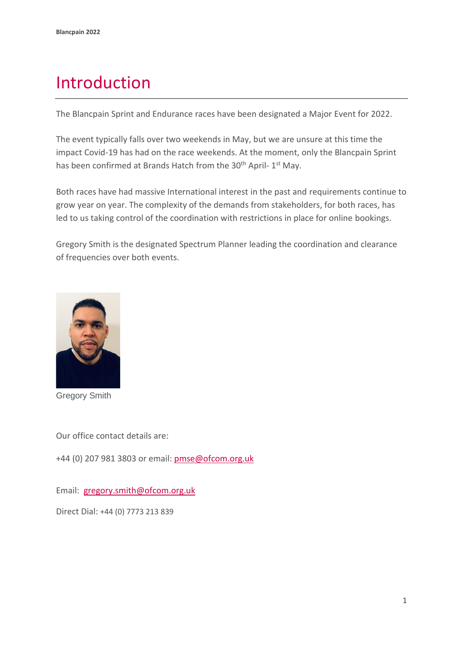## Introduction

The Blancpain Sprint and Endurance races have been designated a Major Event for 2022.

The event typically falls over two weekends in May, but we are unsure at this time the impact Covid-19 has had on the race weekends. At the moment, only the Blancpain Sprint has been confirmed at Brands Hatch from the 30<sup>th</sup> April- 1<sup>st</sup> May.

Both races have had massive International interest in the past and requirements continue to grow year on year. The complexity of the demands from stakeholders, for both races, has led to us taking control of the coordination with restrictions in place for online bookings.

Gregory Smith is the designated Spectrum Planner leading the coordination and clearance of frequencies over both events.



Gregory Smith

Our office contact details are:

+44 (0) 207 981 3803 or email: [pmse@ofcom.org.uk](mailto:pmse@ofcom.org.uk) 

Email: [gregory.smith@ofcom.org.uk](mailto:gregory.smith@ofcom.org.uk)

Direct Dial: +44 (0) 7773 213 839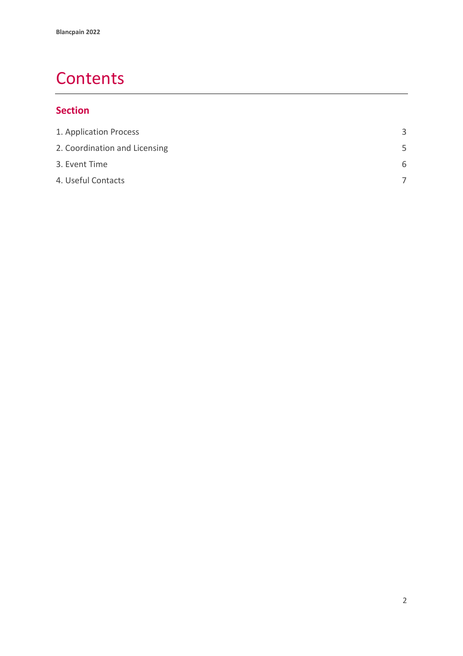### **Contents**

### **Section**

| 3 |
|---|
| 5 |
| 6 |
|   |
|   |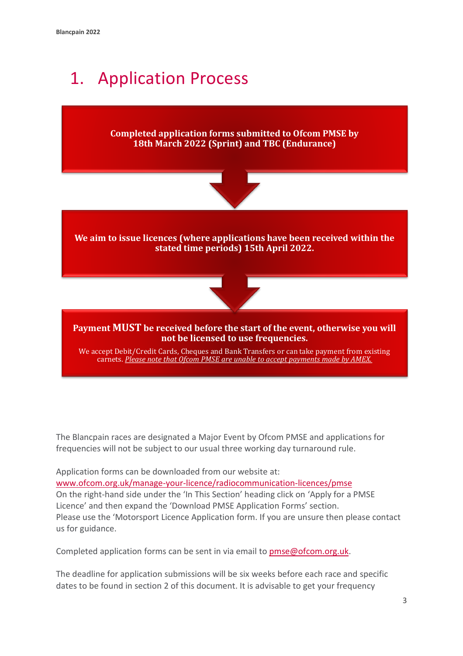# 1. Application Process

**Completed application forms submitted to Ofcom PMSE by 18th March 2022 (Sprint) and TBC (Endurance)** 



**We aim to issue licences (where applications have been received within the stated time periods) 15th April 2022.**



**Payment MUST be received before the start of the event, otherwise you will not be licensed to use frequencies.**

We accept Debit/Credit Cards, Cheques and Bank Transfers or can take payment from existing carnets. *Please note that Ofcom PMSE are unable to accept payments made by AMEX.*

The Blancpain races are designated a Major Event by Ofcom PMSE and applications for frequencies will not be subject to our usual three working day turnaround rule.

Application forms can be downloaded from our website at: [www.ofcom.org.uk/manage-your-licence/radiocommunication-licences/pmse](http://www.ofcom.org.uk/manage-your-licence/radiocommunication-licences/pmse) On the right-hand side under the 'In This Section' heading click on 'Apply for a PMSE Licence' and then expand the 'Download PMSE Application Forms' section. Please use the 'Motorsport Licence Application form. If you are unsure then please contact us for guidance.

Completed application forms can be sent in via email to [pmse@ofcom.org.uk.](mailto:pmse@ofcom.org.uk)

The deadline for application submissions will be six weeks before each race and specific dates to be found in section 2 of this document. It is advisable to get your frequency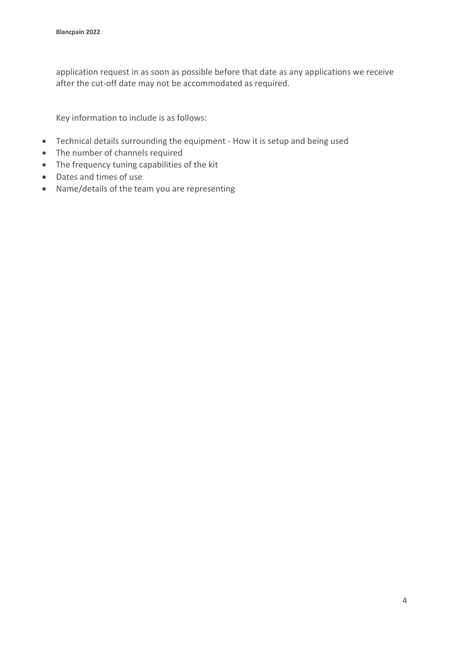application request in as soon as possible before that date as any applications we receive after the cut-off date may not be accommodated as required.

Key information to include is as follows:

- Technical details surrounding the equipment How it is setup and being used
- The number of channels required
- The frequency tuning capabilities of the kit
- Dates and times of use
- Name/details of the team you are representing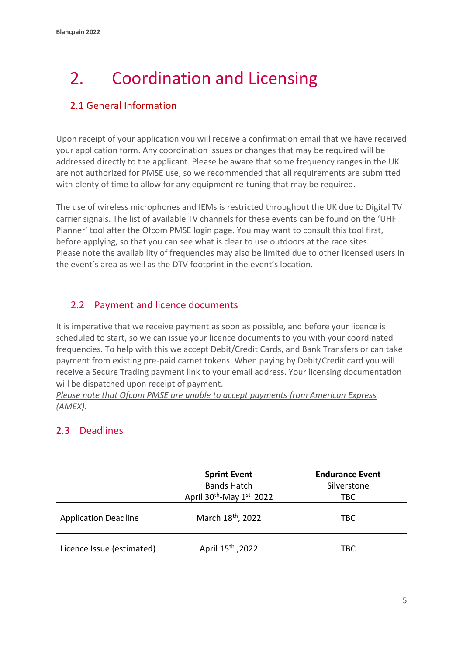# <span id="page-5-0"></span>2. Coordination and Licensing

#### 2.1 General Information

Upon receipt of your application you will receive a confirmation email that we have received your application form. Any coordination issues or changes that may be required will be addressed directly to the applicant. Please be aware that some frequency ranges in the UK are not authorized for PMSE use, so we recommended that all requirements are submitted with plenty of time to allow for any equipment re-tuning that may be required.

The use of wireless microphones and IEMs is restricted throughout the UK due to Digital TV carrier signals. The list of available TV channels for these events can be found on the 'UHF Planner' tool after the Ofcom PMSE login page. You may want to consult this tool first, before applying, so that you can see what is clear to use outdoors at the race sites. Please note the availability of frequencies may also be limited due to other licensed users in the event's area as well as the DTV footprint in the event's location.

#### 2.2 Payment and licence documents

It is imperative that we receive payment as soon as possible, and before your licence is scheduled to start, so we can issue your licence documents to you with your coordinated frequencies. To help with this we accept Debit/Credit Cards, and Bank Transfers or can take payment from existing pre-paid carnet tokens. When paying by Debit/Credit card you will receive a Secure Trading payment link to your email address. Your licensing documentation will be dispatched upon receipt of payment.

*Please note that Ofcom PMSE are unable to accept payments from American Express (AMEX).*

#### 2.3 Deadlines

|                             | <b>Sprint Event</b><br><b>Bands Hatch</b>        | <b>Endurance Event</b><br>Silverstone |
|-----------------------------|--------------------------------------------------|---------------------------------------|
|                             | April 30 <sup>th</sup> -May 1 <sup>st</sup> 2022 | <b>TBC</b>                            |
| <b>Application Deadline</b> | March 18 <sup>th</sup> , 2022                    | TBC                                   |
| Licence Issue (estimated)   | April 15 <sup>th</sup> , 2022                    | <b>TBC</b>                            |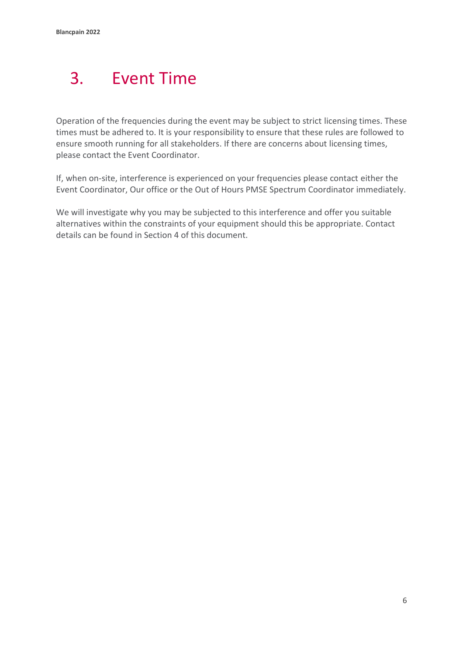# <span id="page-6-0"></span>3. Event Time

Operation of the frequencies during the event may be subject to strict licensing times. These times must be adhered to. It is your responsibility to ensure that these rules are followed to ensure smooth running for all stakeholders. If there are concerns about licensing times, please contact the Event Coordinator.

If, when on-site, interference is experienced on your frequencies please contact either the Event Coordinator, Our office or the Out of Hours PMSE Spectrum Coordinator immediately.

We will investigate why you may be subjected to this interference and offer you suitable alternatives within the constraints of your equipment should this be appropriate. Contact details can be found in Section 4 of this document.